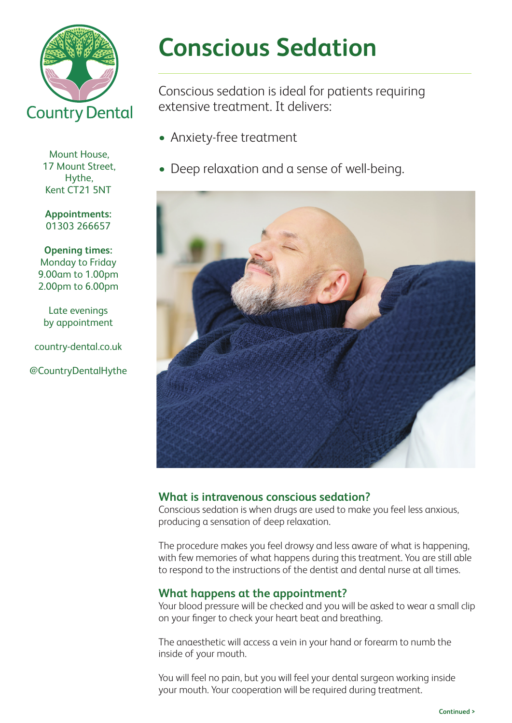

**Conscious Sedation**

Conscious sedation is ideal for patients requiring extensive treatment. It delivers:

- Anxiety-free treatment
- Deep relaxation and a sense of well-being.



# **What is intravenous conscious sedation?**

Conscious sedation is when drugs are used to make you feel less anxious, producing a sensation of deep relaxation.

The procedure makes you feel drowsy and less aware of what is happening, with few memories of what happens during this treatment. You are still able to respond to the instructions of the dentist and dental nurse at all times.

# **What happens at the appointment?**

Your blood pressure will be checked and you will be asked to wear a small clip on your finger to check your heart beat and breathing.

The anaesthetic will access a vein in your hand or forearm to numb the inside of your mouth.

You will feel no pain, but you will feel your dental surgeon working inside your mouth. Your cooperation will be required during treatment.

Mount House, 17 Mount Street, Hythe, Kent CT21 5NT

**Appointments:**  01303 266657

**Opening times:** Monday to Friday 9.00am to 1.00pm 2.00pm to 6.00pm

Late evenings by appointment

country-dental.co.uk

@CountryDentalHythe